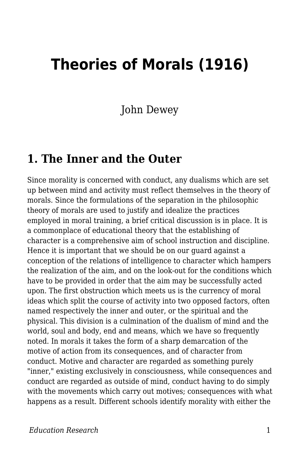# **Theories of Morals (1916)**

John Dewey

#### **1. The Inner and the Outer**

Since morality is concerned with conduct, any dualisms which are set up between mind and activity must reflect themselves in the theory of morals. Since the formulations of the separation in the philosophic theory of morals are used to justify and idealize the practices employed in moral training, a brief critical discussion is in place. It is a commonplace of educational theory that the establishing of character is a comprehensive aim of school instruction and discipline. Hence it is important that we should be on our guard against a conception of the relations of intelligence to character which hampers the realization of the aim, and on the look-out for the conditions which have to be provided in order that the aim may be successfully acted upon. The first obstruction which meets us is the currency of moral ideas which split the course of activity into two opposed factors, often named respectively the inner and outer, or the spiritual and the physical. This division is a culmination of the dualism of mind and the world, soul and body, end and means, which we have so frequently noted. In morals it takes the form of a sharp demarcation of the motive of action from its consequences, and of character from conduct. Motive and character are regarded as something purely "inner," existing exclusively in consciousness, while consequences and conduct are regarded as outside of mind, conduct having to do simply with the movements which carry out motives; consequences with what happens as a result. Different schools identify morality with either the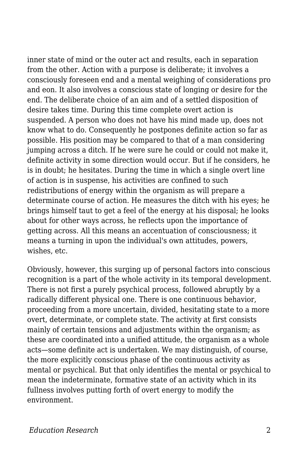inner state of mind or the outer act and results, each in separation from the other. Action with a purpose is deliberate; it involves a consciously foreseen end and a mental weighing of considerations pro and eon. It also involves a conscious state of longing or desire for the end. The deliberate choice of an aim and of a settled disposition of desire takes time. During this time complete overt action is suspended. A person who does not have his mind made up, does not know what to do. Consequently he postpones definite action so far as possible. His position may be compared to that of a man considering jumping across a ditch. If he were sure he could or could not make it, definite activity in some direction would occur. But if he considers, he is in doubt; he hesitates. During the time in which a single overt line of action is in suspense, his activities are confined to such redistributions of energy within the organism as will prepare a determinate course of action. He measures the ditch with his eyes; he brings himself taut to get a feel of the energy at his disposal; he looks about for other ways across, he reflects upon the importance of getting across. All this means an accentuation of consciousness; it means a turning in upon the individual's own attitudes, powers, wishes, etc.

Obviously, however, this surging up of personal factors into conscious recognition is a part of the whole activity in its temporal development. There is not first a purely psychical process, followed abruptly by a radically different physical one. There is one continuous behavior, proceeding from a more uncertain, divided, hesitating state to a more overt, determinate, or complete state. The activity at first consists mainly of certain tensions and adjustments within the organism; as these are coordinated into a unified attitude, the organism as a whole acts—some definite act is undertaken. We may distinguish, of course, the more explicitly conscious phase of the continuous activity as mental or psychical. But that only identifies the mental or psychical to mean the indeterminate, formative state of an activity which in its fullness involves putting forth of overt energy to modify the environment.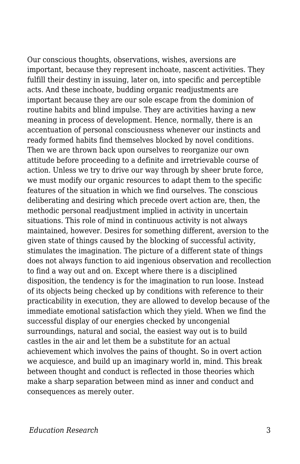Our conscious thoughts, observations, wishes, aversions are important, because they represent inchoate, nascent activities. They fulfill their destiny in issuing, later on, into specific and perceptible acts. And these inchoate, budding organic readjustments are important because they are our sole escape from the dominion of routine habits and blind impulse. They are activities having a new meaning in process of development. Hence, normally, there is an accentuation of personal consciousness whenever our instincts and ready formed habits find themselves blocked by novel conditions. Then we are thrown back upon ourselves to reorganize our own attitude before proceeding to a definite and irretrievable course of action. Unless we try to drive our way through by sheer brute force, we must modify our organic resources to adapt them to the specific features of the situation in which we find ourselves. The conscious deliberating and desiring which precede overt action are, then, the methodic personal readjustment implied in activity in uncertain situations. This role of mind in continuous activity is not always maintained, however. Desires for something different, aversion to the given state of things caused by the blocking of successful activity, stimulates the imagination. The picture of a different state of things does not always function to aid ingenious observation and recollection to find a way out and on. Except where there is a disciplined disposition, the tendency is for the imagination to run loose. Instead of its objects being checked up by conditions with reference to their practicability in execution, they are allowed to develop because of the immediate emotional satisfaction which they yield. When we find the successful display of our energies checked by uncongenial surroundings, natural and social, the easiest way out is to build castles in the air and let them be a substitute for an actual achievement which involves the pains of thought. So in overt action we acquiesce, and build up an imaginary world in, mind. This break between thought and conduct is reflected in those theories which make a sharp separation between mind as inner and conduct and consequences as merely outer.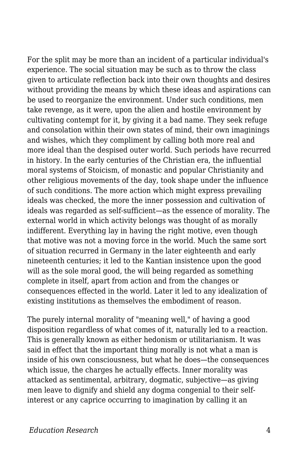For the split may be more than an incident of a particular individual's experience. The social situation may be such as to throw the class given to articulate reflection back into their own thoughts and desires without providing the means by which these ideas and aspirations can be used to reorganize the environment. Under such conditions, men take revenge, as it were, upon the alien and hostile environment by cultivating contempt for it, by giving it a bad name. They seek refuge and consolation within their own states of mind, their own imaginings and wishes, which they compliment by calling both more real and more ideal than the despised outer world. Such periods have recurred in history. In the early centuries of the Christian era, the influential moral systems of Stoicism, of monastic and popular Christianity and other religious movements of the day, took shape under the influence of such conditions. The more action which might express prevailing ideals was checked, the more the inner possession and cultivation of ideals was regarded as self-sufficient—as the essence of morality. The external world in which activity belongs was thought of as morally indifferent. Everything lay in having the right motive, even though that motive was not a moving force in the world. Much the same sort of situation recurred in Germany in the later eighteenth and early nineteenth centuries; it led to the Kantian insistence upon the good will as the sole moral good, the will being regarded as something complete in itself, apart from action and from the changes or consequences effected in the world. Later it led to any idealization of existing institutions as themselves the embodiment of reason.

The purely internal morality of "meaning well," of having a good disposition regardless of what comes of it, naturally led to a reaction. This is generally known as either hedonism or utilitarianism. It was said in effect that the important thing morally is not what a man is inside of his own consciousness, but what he does—the consequences which issue, the charges he actually effects. Inner morality was attacked as sentimental, arbitrary, dogmatic, subjective—as giving men leave to dignify and shield any dogma congenial to their selfinterest or any caprice occurring to imagination by calling it an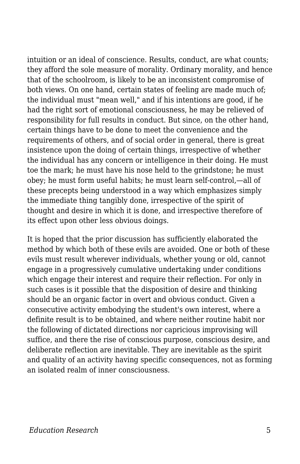intuition or an ideal of conscience. Results, conduct, are what counts; they afford the sole measure of morality. Ordinary morality, and hence that of the schoolroom, is likely to be an inconsistent compromise of both views. On one hand, certain states of feeling are made much of; the individual must "mean well," and if his intentions are good, if he had the right sort of emotional consciousness, he may be relieved of responsibility for full results in conduct. But since, on the other hand, certain things have to be done to meet the convenience and the requirements of others, and of social order in general, there is great insistence upon the doing of certain things, irrespective of whether the individual has any concern or intelligence in their doing. He must toe the mark; he must have his nose held to the grindstone; he must obey; he must form useful habits; he must learn self-control,—all of these precepts being understood in a way which emphasizes simply the immediate thing tangibly done, irrespective of the spirit of thought and desire in which it is done, and irrespective therefore of its effect upon other less obvious doings.

It is hoped that the prior discussion has sufficiently elaborated the method by which both of these evils are avoided. One or both of these evils must result wherever individuals, whether young or old, cannot engage in a progressively cumulative undertaking under conditions which engage their interest and require their reflection. For only in such cases is it possible that the disposition of desire and thinking should be an organic factor in overt and obvious conduct. Given a consecutive activity embodying the student's own interest, where a definite result is to be obtained, and where neither routine habit nor the following of dictated directions nor capricious improvising will suffice, and there the rise of conscious purpose, conscious desire, and deliberate reflection are inevitable. They are inevitable as the spirit and quality of an activity having specific consequences, not as forming an isolated realm of inner consciousness.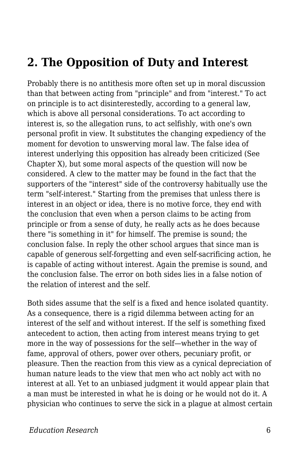#### **2. The Opposition of Duty and Interest**

Probably there is no antithesis more often set up in moral discussion than that between acting from "principle" and from "interest." To act on principle is to act disinterestedly, according to a general law, which is above all personal considerations. To act according to interest is, so the allegation runs, to act selfishly, with one's own personal profit in view. It substitutes the changing expediency of the moment for devotion to unswerving moral law. The false idea of interest underlying this opposition has already been criticized (See Chapter X), but some moral aspects of the question will now be considered. A clew to the matter may be found in the fact that the supporters of the "interest" side of the controversy habitually use the term "self-interest." Starting from the premises that unless there is interest in an object or idea, there is no motive force, they end with the conclusion that even when a person claims to be acting from principle or from a sense of duty, he really acts as he does because there "is something in it" for himself. The premise is sound; the conclusion false. In reply the other school argues that since man is capable of generous self-forgetting and even self-sacrificing action, he is capable of acting without interest. Again the premise is sound, and the conclusion false. The error on both sides lies in a false notion of the relation of interest and the self.

Both sides assume that the self is a fixed and hence isolated quantity. As a consequence, there is a rigid dilemma between acting for an interest of the self and without interest. If the self is something fixed antecedent to action, then acting from interest means trying to get more in the way of possessions for the self—whether in the way of fame, approval of others, power over others, pecuniary profit, or pleasure. Then the reaction from this view as a cynical depreciation of human nature leads to the view that men who act nobly act with no interest at all. Yet to an unbiased judgment it would appear plain that a man must be interested in what he is doing or he would not do it. A physician who continues to serve the sick in a plague at almost certain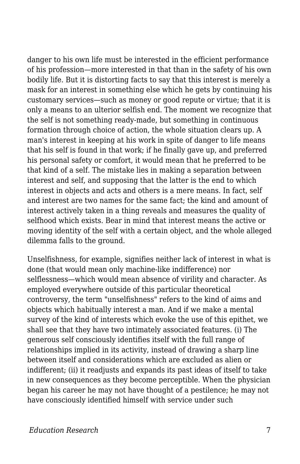danger to his own life must be interested in the efficient performance of his profession—more interested in that than in the safety of his own bodily life. But it is distorting facts to say that this interest is merely a mask for an interest in something else which he gets by continuing his customary services—such as money or good repute or virtue; that it is only a means to an ulterior selfish end. The moment we recognize that the self is not something ready-made, but something in continuous formation through choice of action, the whole situation clears up. A man's interest in keeping at his work in spite of danger to life means that his self is found in that work; if he finally gave up, and preferred his personal safety or comfort, it would mean that he preferred to be that kind of a self. The mistake lies in making a separation between interest and self, and supposing that the latter is the end to which interest in objects and acts and others is a mere means. In fact, self and interest are two names for the same fact; the kind and amount of interest actively taken in a thing reveals and measures the quality of selfhood which exists. Bear in mind that interest means the active or moving identity of the self with a certain object, and the whole alleged dilemma falls to the ground.

Unselfishness, for example, signifies neither lack of interest in what is done (that would mean only machine-like indifference) nor selflessness—which would mean absence of virility and character. As employed everywhere outside of this particular theoretical controversy, the term "unselfishness" refers to the kind of aims and objects which habitually interest a man. And if we make a mental survey of the kind of interests which evoke the use of this epithet, we shall see that they have two intimately associated features. (i) The generous self consciously identifies itself with the full range of relationships implied in its activity, instead of drawing a sharp line between itself and considerations which are excluded as alien or indifferent; (ii) it readjusts and expands its past ideas of itself to take in new consequences as they become perceptible. When the physician began his career he may not have thought of a pestilence; he may not have consciously identified himself with service under such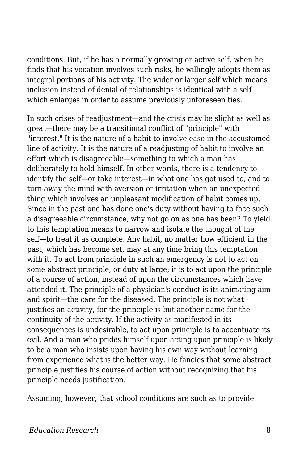conditions. But, if he has a normally growing or active self, when he finds that his vocation involves such risks, he willingly adopts them as integral portions of his activity. The wider or larger self which means inclusion instead of denial of relationships is identical with a self which enlarges in order to assume previously unforeseen ties.

In such crises of readjustment—and the crisis may be slight as well as great—there may be a transitional conflict of "principle" with "interest." It is the nature of a habit to involve ease in the accustomed line of activity. It is the nature of a readjusting of habit to involve an effort which is disagreeable—something to which a man has deliberately to hold himself. In other words, there is a tendency to identify the self—or take interest—in what one has got used to, and to turn away the mind with aversion or irritation when an unexpected thing which involves an unpleasant modification of habit comes up. Since in the past one has done one's duty without having to face such a disagreeable circumstance, why not go on as one has been? To yield to this temptation means to narrow and isolate the thought of the self—to treat it as complete. Any habit, no matter how efficient in the past, which has become set, may at any time bring this temptation with it. To act from principle in such an emergency is not to act on some abstract principle, or duty at large; it is to act upon the principle of a course of action, instead of upon the circumstances which have attended it. The principle of a physician's conduct is its animating aim and spirit—the care for the diseased. The principle is not what justifies an activity, for the principle is but another name for the continuity of the activity. If the activity as manifested in its consequences is undesirable, to act upon principle is to accentuate its evil. And a man who prides himself upon acting upon principle is likely to be a man who insists upon having his own way without learning from experience what is the better way. He fancies that some abstract principle justifies his course of action without recognizing that his principle needs justification.

Assuming, however, that school conditions are such as to provide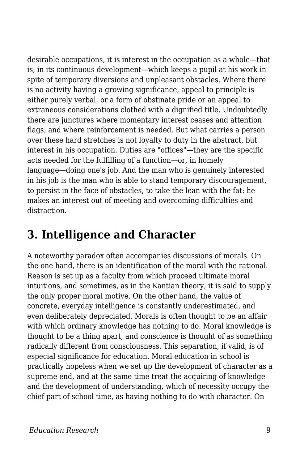desirable occupations, it is interest in the occupation as a whole—that is, in its continuous development—which keeps a pupil at his work in spite of temporary diversions and unpleasant obstacles. Where there is no activity having a growing significance, appeal to principle is either purely verbal, or a form of obstinate pride or an appeal to extraneous considerations clothed with a dignified title. Undoubtedly there are junctures where momentary interest ceases and attention flags, and where reinforcement is needed. But what carries a person over these hard stretches is not loyalty to duty in the abstract, but interest in his occupation. Duties are "offices"—they are the specific acts needed for the fulfilling of a function—or, in homely language—doing one's job. And the man who is genuinely interested in his job is the man who is able to stand temporary discouragement, to persist in the face of obstacles, to take the lean with the fat: he makes an interest out of meeting and overcoming difficulties and distraction.

### **3. Intelligence and Character**

A noteworthy paradox often accompanies discussions of morals. On the one hand, there is an identification of the moral with the rational. Reason is set up as a faculty from which proceed ultimate moral intuitions, and sometimes, as in the Kantian theory, it is said to supply the only proper moral motive. On the other hand, the value of concrete, everyday intelligence is constantly underestimated, and even deliberately depreciated. Morals is often thought to be an affair with which ordinary knowledge has nothing to do. Moral knowledge is thought to be a thing apart, and conscience is thought of as something radically different from consciousness. This separation, if valid, is of especial significance for education. Moral education in school is practically hopeless when we set up the development of character as a supreme end, and at the same time treat the acquiring of knowledge and the development of understanding, which of necessity occupy the chief part of school time, as having nothing to do with character. On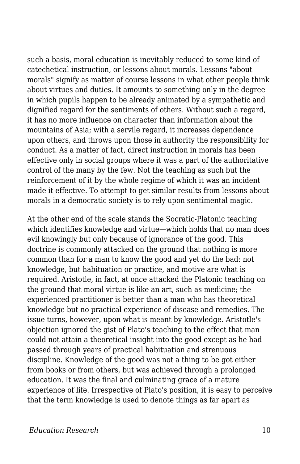such a basis, moral education is inevitably reduced to some kind of catechetical instruction, or lessons about morals. Lessons "about morals" signify as matter of course lessons in what other people think about virtues and duties. It amounts to something only in the degree in which pupils happen to be already animated by a sympathetic and dignified regard for the sentiments of others. Without such a regard, it has no more influence on character than information about the mountains of Asia; with a servile regard, it increases dependence upon others, and throws upon those in authority the responsibility for conduct. As a matter of fact, direct instruction in morals has been effective only in social groups where it was a part of the authoritative control of the many by the few. Not the teaching as such but the reinforcement of it by the whole regime of which it was an incident made it effective. To attempt to get similar results from lessons about morals in a democratic society is to rely upon sentimental magic.

At the other end of the scale stands the Socratic-Platonic teaching which identifies knowledge and virtue—which holds that no man does evil knowingly but only because of ignorance of the good. This doctrine is commonly attacked on the ground that nothing is more common than for a man to know the good and yet do the bad: not knowledge, but habituation or practice, and motive are what is required. Aristotle, in fact, at once attacked the Platonic teaching on the ground that moral virtue is like an art, such as medicine; the experienced practitioner is better than a man who has theoretical knowledge but no practical experience of disease and remedies. The issue turns, however, upon what is meant by knowledge. Aristotle's objection ignored the gist of Plato's teaching to the effect that man could not attain a theoretical insight into the good except as he had passed through years of practical habituation and strenuous discipline. Knowledge of the good was not a thing to be got either from books or from others, but was achieved through a prolonged education. It was the final and culminating grace of a mature experience of life. Irrespective of Plato's position, it is easy to perceive that the term knowledge is used to denote things as far apart as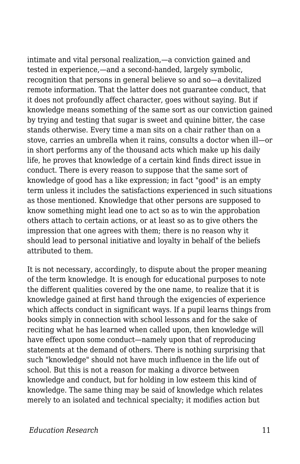intimate and vital personal realization,—a conviction gained and tested in experience,—and a second-handed, largely symbolic, recognition that persons in general believe so and so—a devitalized remote information. That the latter does not guarantee conduct, that it does not profoundly affect character, goes without saying. But if knowledge means something of the same sort as our conviction gained by trying and testing that sugar is sweet and quinine bitter, the case stands otherwise. Every time a man sits on a chair rather than on a stove, carries an umbrella when it rains, consults a doctor when ill—or in short performs any of the thousand acts which make up his daily life, he proves that knowledge of a certain kind finds direct issue in conduct. There is every reason to suppose that the same sort of knowledge of good has a like expression; in fact "good" is an empty term unless it includes the satisfactions experienced in such situations as those mentioned. Knowledge that other persons are supposed to know something might lead one to act so as to win the approbation others attach to certain actions, or at least so as to give others the impression that one agrees with them; there is no reason why it should lead to personal initiative and loyalty in behalf of the beliefs attributed to them.

It is not necessary, accordingly, to dispute about the proper meaning of the term knowledge. It is enough for educational purposes to note the different qualities covered by the one name, to realize that it is knowledge gained at first hand through the exigencies of experience which affects conduct in significant ways. If a pupil learns things from books simply in connection with school lessons and for the sake of reciting what he has learned when called upon, then knowledge will have effect upon some conduct—namely upon that of reproducing statements at the demand of others. There is nothing surprising that such "knowledge" should not have much influence in the life out of school. But this is not a reason for making a divorce between knowledge and conduct, but for holding in low esteem this kind of knowledge. The same thing may be said of knowledge which relates merely to an isolated and technical specialty; it modifies action but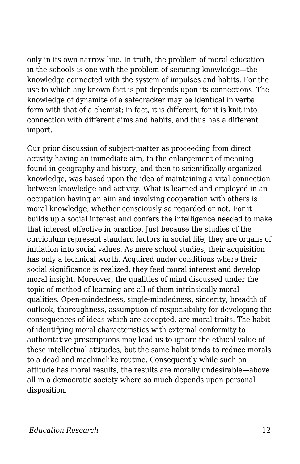only in its own narrow line. In truth, the problem of moral education in the schools is one with the problem of securing knowledge—the knowledge connected with the system of impulses and habits. For the use to which any known fact is put depends upon its connections. The knowledge of dynamite of a safecracker may be identical in verbal form with that of a chemist; in fact, it is different, for it is knit into connection with different aims and habits, and thus has a different import.

Our prior discussion of subject-matter as proceeding from direct activity having an immediate aim, to the enlargement of meaning found in geography and history, and then to scientifically organized knowledge, was based upon the idea of maintaining a vital connection between knowledge and activity. What is learned and employed in an occupation having an aim and involving cooperation with others is moral knowledge, whether consciously so regarded or not. For it builds up a social interest and confers the intelligence needed to make that interest effective in practice. Just because the studies of the curriculum represent standard factors in social life, they are organs of initiation into social values. As mere school studies, their acquisition has only a technical worth. Acquired under conditions where their social significance is realized, they feed moral interest and develop moral insight. Moreover, the qualities of mind discussed under the topic of method of learning are all of them intrinsically moral qualities. Open-mindedness, single-mindedness, sincerity, breadth of outlook, thoroughness, assumption of responsibility for developing the consequences of ideas which are accepted, are moral traits. The habit of identifying moral characteristics with external conformity to authoritative prescriptions may lead us to ignore the ethical value of these intellectual attitudes, but the same habit tends to reduce morals to a dead and machinelike routine. Consequently while such an attitude has moral results, the results are morally undesirable—above all in a democratic society where so much depends upon personal disposition.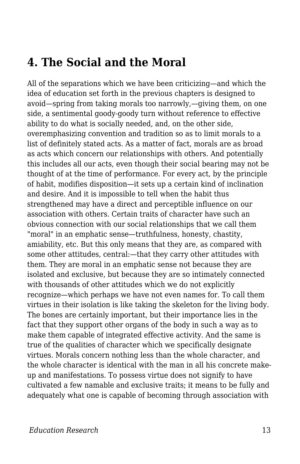#### **4. The Social and the Moral**

All of the separations which we have been criticizing—and which the idea of education set forth in the previous chapters is designed to avoid—spring from taking morals too narrowly,—giving them, on one side, a sentimental goody-goody turn without reference to effective ability to do what is socially needed, and, on the other side, overemphasizing convention and tradition so as to limit morals to a list of definitely stated acts. As a matter of fact, morals are as broad as acts which concern our relationships with others. And potentially this includes all our acts, even though their social bearing may not be thought of at the time of performance. For every act, by the principle of habit, modifies disposition—it sets up a certain kind of inclination and desire. And it is impossible to tell when the habit thus strengthened may have a direct and perceptible influence on our association with others. Certain traits of character have such an obvious connection with our social relationships that we call them "moral" in an emphatic sense—truthfulness, honesty, chastity, amiability, etc. But this only means that they are, as compared with some other attitudes, central:—that they carry other attitudes with them. They are moral in an emphatic sense not because they are isolated and exclusive, but because they are so intimately connected with thousands of other attitudes which we do not explicitly recognize—which perhaps we have not even names for. To call them virtues in their isolation is like taking the skeleton for the living body. The bones are certainly important, but their importance lies in the fact that they support other organs of the body in such a way as to make them capable of integrated effective activity. And the same is true of the qualities of character which we specifically designate virtues. Morals concern nothing less than the whole character, and the whole character is identical with the man in all his concrete makeup and manifestations. To possess virtue does not signify to have cultivated a few namable and exclusive traits; it means to be fully and adequately what one is capable of becoming through association with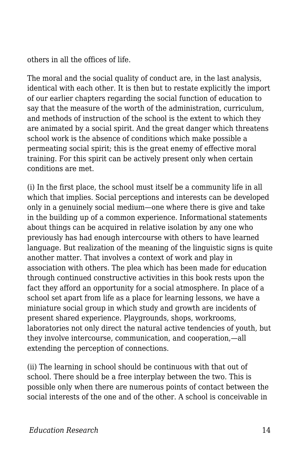others in all the offices of life.

The moral and the social quality of conduct are, in the last analysis, identical with each other. It is then but to restate explicitly the import of our earlier chapters regarding the social function of education to say that the measure of the worth of the administration, curriculum, and methods of instruction of the school is the extent to which they are animated by a social spirit. And the great danger which threatens school work is the absence of conditions which make possible a permeating social spirit; this is the great enemy of effective moral training. For this spirit can be actively present only when certain conditions are met.

(i) In the first place, the school must itself be a community life in all which that implies. Social perceptions and interests can be developed only in a genuinely social medium—one where there is give and take in the building up of a common experience. Informational statements about things can be acquired in relative isolation by any one who previously has had enough intercourse with others to have learned language. But realization of the meaning of the linguistic signs is quite another matter. That involves a context of work and play in association with others. The plea which has been made for education through continued constructive activities in this book rests upon the fact they afford an opportunity for a social atmosphere. In place of a school set apart from life as a place for learning lessons, we have a miniature social group in which study and growth are incidents of present shared experience. Playgrounds, shops, workrooms, laboratories not only direct the natural active tendencies of youth, but they involve intercourse, communication, and cooperation,—all extending the perception of connections.

(ii) The learning in school should be continuous with that out of school. There should be a free interplay between the two. This is possible only when there are numerous points of contact between the social interests of the one and of the other. A school is conceivable in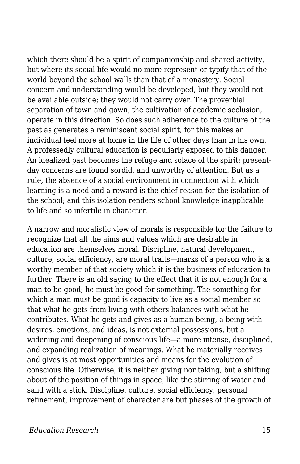which there should be a spirit of companionship and shared activity, but where its social life would no more represent or typify that of the world beyond the school walls than that of a monastery. Social concern and understanding would be developed, but they would not be available outside; they would not carry over. The proverbial separation of town and gown, the cultivation of academic seclusion, operate in this direction. So does such adherence to the culture of the past as generates a reminiscent social spirit, for this makes an individual feel more at home in the life of other days than in his own. A professedly cultural education is peculiarly exposed to this danger. An idealized past becomes the refuge and solace of the spirit; presentday concerns are found sordid, and unworthy of attention. But as a rule, the absence of a social environment in connection with which learning is a need and a reward is the chief reason for the isolation of the school; and this isolation renders school knowledge inapplicable to life and so infertile in character.

A narrow and moralistic view of morals is responsible for the failure to recognize that all the aims and values which are desirable in education are themselves moral. Discipline, natural development, culture, social efficiency, are moral traits—marks of a person who is a worthy member of that society which it is the business of education to further. There is an old saying to the effect that it is not enough for a man to be good; he must be good for something. The something for which a man must be good is capacity to live as a social member so that what he gets from living with others balances with what he contributes. What he gets and gives as a human being, a being with desires, emotions, and ideas, is not external possessions, but a widening and deepening of conscious life—a more intense, disciplined, and expanding realization of meanings. What he materially receives and gives is at most opportunities and means for the evolution of conscious life. Otherwise, it is neither giving nor taking, but a shifting about of the position of things in space, like the stirring of water and sand with a stick. Discipline, culture, social efficiency, personal refinement, improvement of character are but phases of the growth of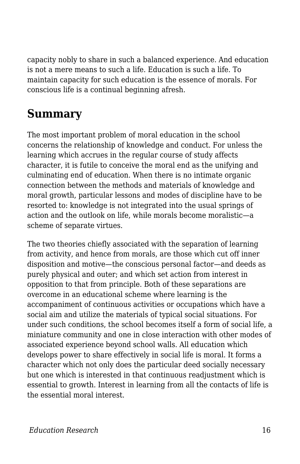capacity nobly to share in such a balanced experience. And education is not a mere means to such a life. Education is such a life. To maintain capacity for such education is the essence of morals. For conscious life is a continual beginning afresh.

## **Summary**

The most important problem of moral education in the school concerns the relationship of knowledge and conduct. For unless the learning which accrues in the regular course of study affects character, it is futile to conceive the moral end as the unifying and culminating end of education. When there is no intimate organic connection between the methods and materials of knowledge and moral growth, particular lessons and modes of discipline have to be resorted to: knowledge is not integrated into the usual springs of action and the outlook on life, while morals become moralistic—a scheme of separate virtues.

The two theories chiefly associated with the separation of learning from activity, and hence from morals, are those which cut off inner disposition and motive—the conscious personal factor—and deeds as purely physical and outer; and which set action from interest in opposition to that from principle. Both of these separations are overcome in an educational scheme where learning is the accompaniment of continuous activities or occupations which have a social aim and utilize the materials of typical social situations. For under such conditions, the school becomes itself a form of social life, a miniature community and one in close interaction with other modes of associated experience beyond school walls. All education which develops power to share effectively in social life is moral. It forms a character which not only does the particular deed socially necessary but one which is interested in that continuous readjustment which is essential to growth. Interest in learning from all the contacts of life is the essential moral interest.